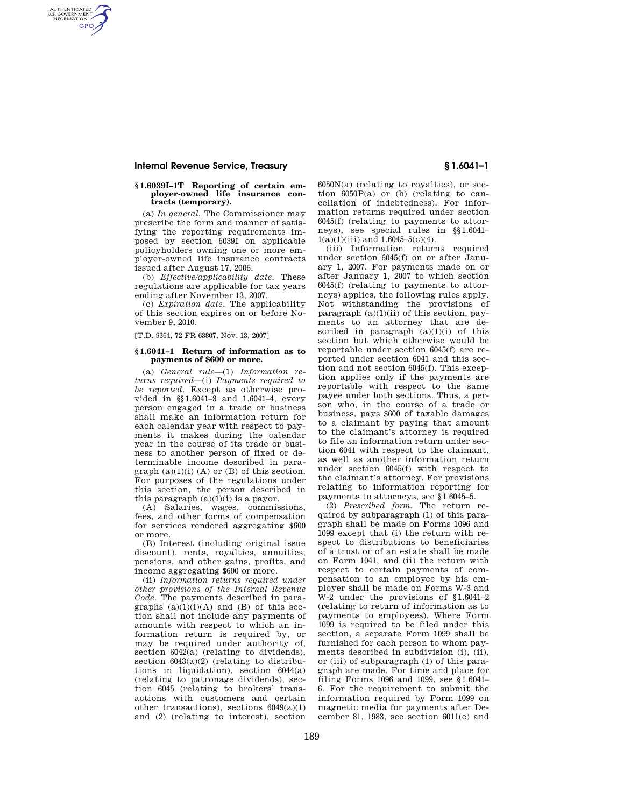### **Internal Revenue Service, Treasury § 1.6041–1**

AUTHENTICATED<br>U.S. GOVERNMENT<br>INFORMATION **GPO** 

# **§ 1.6039I–1T Reporting of certain em-ployer-owned life insurance contracts (temporary).**

(a) *In general.* The Commissioner may prescribe the form and manner of satisfying the reporting requirements imposed by section 6039I on applicable policyholders owning one or more employer-owned life insurance contracts issued after August 17, 2006.

(b) *Effective/applicability date.* These regulations are applicable for tax years ending after November 13, 2007.

(c) *Expiration date.* The applicability of this section expires on or before November 9, 2010.

[T.D. 9364, 72 FR 63807, Nov. 13, 2007]

#### **§ 1.6041–1 Return of information as to payments of \$600 or more.**

(a) *General rule*—(1) *Information returns required*—(i) *Payments required to be reported.* Except as otherwise provided in §§1.6041–3 and 1.6041–4, every person engaged in a trade or business shall make an information return for each calendar year with respect to payments it makes during the calendar year in the course of its trade or business to another person of fixed or determinable income described in para $graph\ (a)(1)(i)\ (A)$  or  $(B)$  of this section. For purposes of the regulations under this section, the person described in this paragraph  $(a)(1)(i)$  is a payor.

(A) Salaries, wages, commissions, fees, and other forms of compensation for services rendered aggregating \$600 or more.

(B) Interest (including original issue discount), rents, royalties, annuities, pensions, and other gains, profits, and income aggregating \$600 or more.

(ii) *Information returns required under other provisions of the Internal Revenue Code.* The payments described in paragraphs  $(a)(1)(i)(A)$  and  $(B)$  of this section shall not include any payments of amounts with respect to which an information return is required by, or may be required under authority of, section 6042(a) (relating to dividends), section  $6043(a)(2)$  (relating to distributions in liquidation), section 6044(a) (relating to patronage dividends), section 6045 (relating to brokers' transactions with customers and certain other transactions), sections 6049(a)(1) and (2) (relating to interest), section

6050N(a) (relating to royalties), or section  $6050P(a)$  or (b) (relating to cancellation of indebtedness). For information returns required under section 6045(f) (relating to payments to attorneys), see special rules in §§1.6041–  $1(a)(1)(iii)$  and  $1.6045-5(c)(4)$ .

(iii) Information returns required under section 6045(f) on or after January 1, 2007. For payments made on or after January 1, 2007 to which section 6045(f) (relating to payments to attorneys) applies, the following rules apply. Not withstanding the provisions of paragraph  $(a)(1)(ii)$  of this section, payments to an attorney that are described in paragraph  $(a)(1)(i)$  of this section but which otherwise would be reportable under section 6045(f) are reported under section 6041 and this section and not section 6045(f). This exception applies only if the payments are reportable with respect to the same payee under both sections. Thus, a person who, in the course of a trade or business, pays \$600 of taxable damages to a claimant by paying that amount to the claimant's attorney is required to file an information return under section 6041 with respect to the claimant, as well as another information return under section 6045(f) with respect to the claimant's attorney. For provisions relating to information reporting for payments to attorneys, see §1.6045–5.

(2) *Prescribed form.* The return required by subparagraph (1) of this paragraph shall be made on Forms 1096 and 1099 except that (i) the return with respect to distributions to beneficiaries of a trust or of an estate shall be made on Form 1041, and (ii) the return with respect to certain payments of compensation to an employee by his employer shall be made on Forms W-3 and W-2 under the provisions of §1.6041–2 (relating to return of information as to payments to employees). Where Form 1099 is required to be filed under this section, a separate Form 1099 shall be furnished for each person to whom payments described in subdivision (i), (ii), or (iii) of subparagraph (1) of this paragraph are made. For time and place for filing Forms 1096 and 1099, see §1.6041– 6. For the requirement to submit the information required by Form 1099 on magnetic media for payments after December 31, 1983, see section 6011(e) and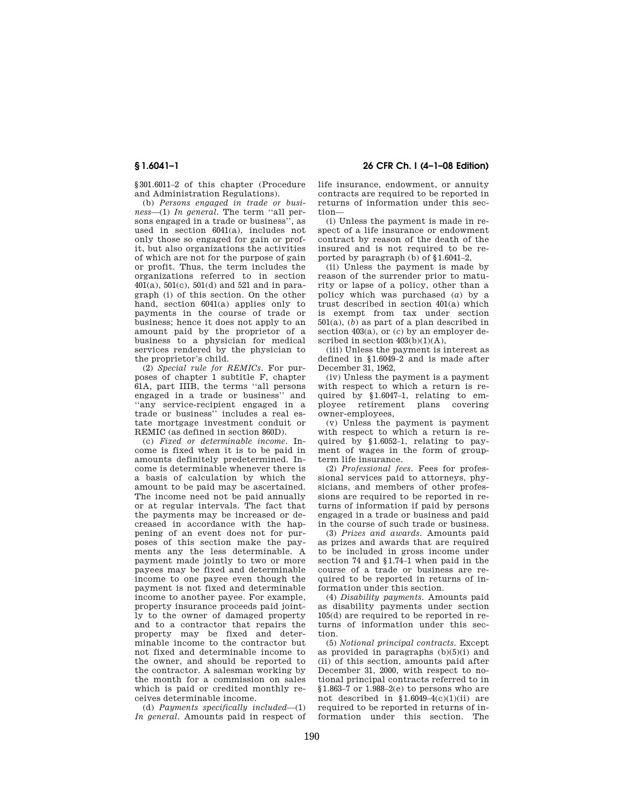§301.6011–2 of this chapter (Procedure and Administration Regulations).

(b) *Persons engaged in trade or business*—(1) *In general.* The term ''all persons engaged in a trade or business'<sup>7</sup>, as used in section 6041(a), includes not only those so engaged for gain or profit, but also organizations the activities of which are not for the purpose of gain or profit. Thus, the term includes the organizations referred to in section  $401(a)$ ,  $501(c)$ ,  $501(d)$  and  $521$  and in paragraph (i) of this section. On the other hand, section 6041(a) applies only to payments in the course of trade or business; hence it does not apply to an amount paid by the proprietor of a business to a physician for medical services rendered by the physician to the proprietor's child.

(2) *Special rule for REMICs.* For purposes of chapter 1 subtitle F, chapter 61A, part IIIB, the terms ''all persons engaged in a trade or business'' and ''any service-recipient engaged in a trade or business'' includes a real estate mortgage investment conduit or REMIC (as defined in section 860D).

(c) *Fixed or determinable income.* Income is fixed when it is to be paid in amounts definitely predetermined. Income is determinable whenever there is a basis of calculation by which the amount to be paid may be ascertained. The income need not be paid annually or at regular intervals. The fact that the payments may be increased or decreased in accordance with the happening of an event does not for purposes of this section make the payments any the less determinable. A payment made jointly to two or more payees may be fixed and determinable income to one payee even though the payment is not fixed and determinable income to another payee. For example, property insurance proceeds paid jointly to the owner of damaged property and to a contractor that repairs the property may be fixed and determinable income to the contractor but not fixed and determinable income to the owner, and should be reported to the contractor. A salesman working by the month for a commission on sales which is paid or credited monthly receives determinable income.

(d) *Payments specifically included*—(1) *In general.* Amounts paid in respect of

**§ 1.6041–1 26 CFR Ch. I (4–1–08 Edition)** 

life insurance, endowment, or annuity contracts are required to be reported in returns of information under this section—

(i) Unless the payment is made in respect of a life insurance or endowment contract by reason of the death of the insured and is not required to be reported by paragraph (b) of §1.6041–2,

(ii) Unless the payment is made by reason of the surrender prior to maturity or lapse of a policy, other than a policy which was purchased (*a*) by a trust described in section 401(a) which is exempt from tax under section 501(a), (*b*) as part of a plan described in section 403(a), or (*c*) by an employer described in section  $403(b)(1)(A)$ ,

(iii) Unless the payment is interest as defined in §1.6049–2 and is made after December 31, 1962,

(iv) Unless the payment is a payment with respect to which a return is required by §1.6047–1, relating to employee retirement plans covering owner-employees,

(v) Unless the payment is payment with respect to which a return is required by §1.6052–1, relating to payment of wages in the form of groupterm life insurance.

(2) *Professional fees.* Fees for professional services paid to attorneys, physicians, and members of other professions are required to be reported in returns of information if paid by persons engaged in a trade or business and paid in the course of such trade or business.

(3) *Prizes and awards.* Amounts paid as prizes and awards that are required to be included in gross income under section 74 and §1.74–1 when paid in the course of a trade or business are required to be reported in returns of information under this section.

(4) *Disability payments.* Amounts paid as disability payments under section 105(d) are required to be reported in returns of information under this section.

(5) *Notional principal contracts.* Except as provided in paragraphs  $(b)(5)(i)$  and (ii) of this section, amounts paid after December 31, 2000, with respect to notional principal contracts referred to in  $$1.863-7$  or  $1.988-2(e)$  to persons who are not described in  $$1.6049-4(c)(1)(ii)$  are required to be reported in returns of information under this section. The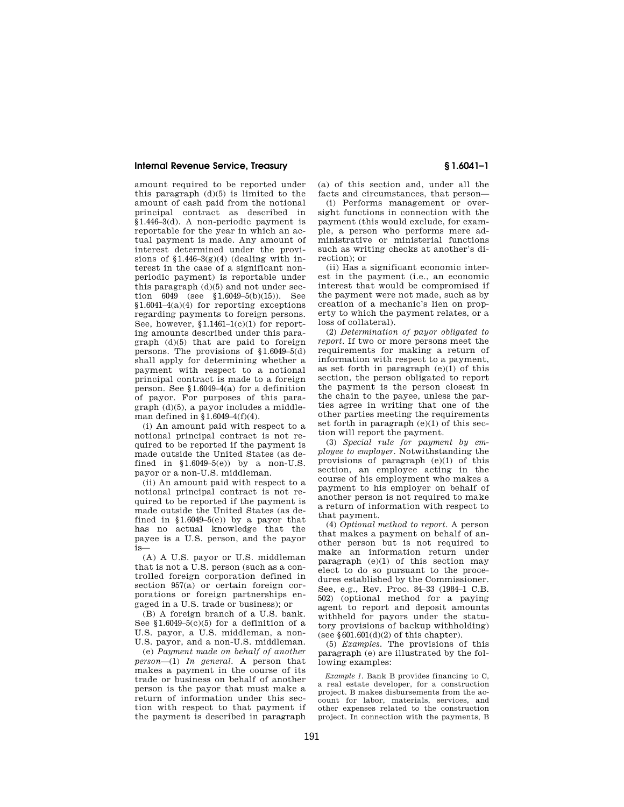### **Internal Revenue Service, Treasury § 1.6041–1**

amount required to be reported under this paragraph  $(d)(5)$  is limited to the amount of cash paid from the notional principal contract as described in §1.446–3(d). A non-periodic payment is reportable for the year in which an actual payment is made. Any amount of interest determined under the provisions of  $$1.446-3(g)(4)$  (dealing with interest in the case of a significant nonperiodic payment) is reportable under this paragraph (d)(5) and not under section 6049 (see §1.6049–5(b)(15)). See §1.6041–4(a)(4) for reporting exceptions regarding payments to foreign persons. See, however, §1.1461–1(c)(1) for reporting amounts described under this paragraph (d)(5) that are paid to foreign persons. The provisions of §1.6049–5(d) shall apply for determining whether a payment with respect to a notional principal contract is made to a foreign person. See §1.6049–4(a) for a definition of payor. For purposes of this paragraph (d)(5), a payor includes a middleman defined in  $$1.6049-4(f)(4)$ .

(i) An amount paid with respect to a notional principal contract is not required to be reported if the payment is made outside the United States (as defined in  $$1.6049-5(e)$  by a non-U.S. payor or a non-U.S. middleman.

(ii) An amount paid with respect to a notional principal contract is not required to be reported if the payment is made outside the United States (as defined in  $$1.6049-5(e)$  by a payor that has no actual knowledge that the payee is a U.S. person, and the payor is—

(A) A U.S. payor or U.S. middleman that is not a U.S. person (such as a controlled foreign corporation defined in section 957(a) or certain foreign corporations or foreign partnerships engaged in a U.S. trade or business); or

(B) A foreign branch of a U.S. bank. See  $$1.6049-5(c)(5)$  for a definition of a U.S. payor, a U.S. middleman, a non-U.S. payor, and a non-U.S. middleman.

(e) *Payment made on behalf of another person*—(1) *In general.* A person that makes a payment in the course of its trade or business on behalf of another person is the payor that must make a return of information under this section with respect to that payment if the payment is described in paragraph

(a) of this section and, under all the facts and circumstances, that person—

(i) Performs management or oversight functions in connection with the payment (this would exclude, for example, a person who performs mere administrative or ministerial functions such as writing checks at another's direction); or

(ii) Has a significant economic interest in the payment (i.e., an economic interest that would be compromised if the payment were not made, such as by creation of a mechanic's lien on property to which the payment relates, or a loss of collateral).

(2) *Determination of payor obligated to report.* If two or more persons meet the requirements for making a return of information with respect to a payment, as set forth in paragraph  $(e)(1)$  of this section, the person obligated to report the payment is the person closest in the chain to the payee, unless the parties agree in writing that one of the other parties meeting the requirements set forth in paragraph (e)(1) of this section will report the payment.

(3) *Special rule for payment by employee to employer.* Notwithstanding the provisions of paragraph (e)(1) of this section, an employee acting in the course of his employment who makes a payment to his employer on behalf of another person is not required to make a return of information with respect to that payment.

(4) *Optional method to report.* A person that makes a payment on behalf of another person but is not required to make an information return under paragraph (e)(1) of this section may elect to do so pursuant to the procedures established by the Commissioner. See, e.g., Rev. Proc. 84–33 (1984–1 C.B. 502) (optional method for a paying agent to report and deposit amounts withheld for payors under the statutory provisions of backup withholding) (see  $§601.601(d)(2)$  of this chapter).

(5) *Examples.* The provisions of this paragraph (e) are illustrated by the following examples:

*Example 1.* Bank B provides financing to C, a real estate developer, for a construction project. B makes disbursements from the account for labor, materials, services, and other expenses related to the construction project. In connection with the payments, B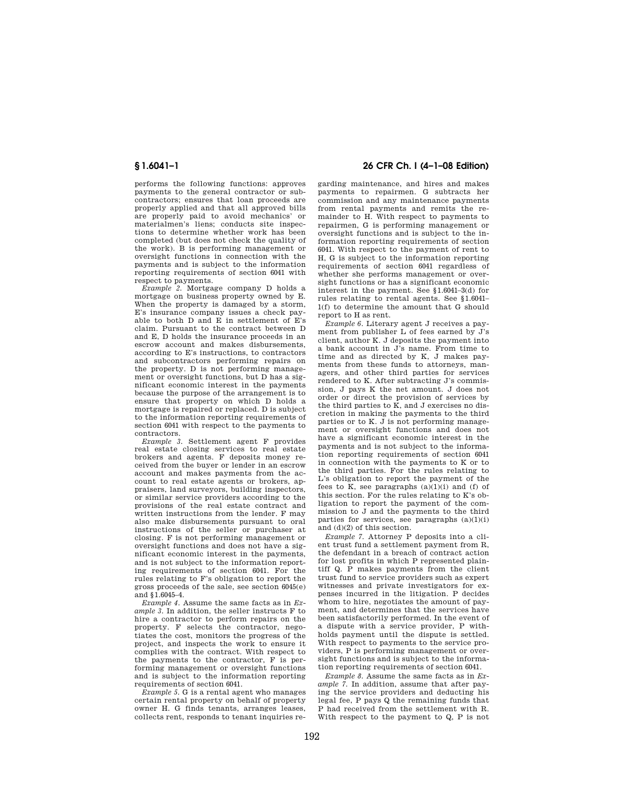performs the following functions: approves payments to the general contractor or subcontractors; ensures that loan proceeds are properly applied and that all approved bills are properly paid to avoid mechanics' or materialmen's liens; conducts site inspections to determine whether work has been completed (but does not check the quality of the work). B is performing management or oversight functions in connection with the payments and is subject to the information reporting requirements of section 6041 with respect to payments.

*Example 2.* Mortgage company D holds a mortgage on business property owned by E. When the property is damaged by a storm, E's insurance company issues a check payable to both D and E in settlement of E's claim. Pursuant to the contract between D and E, D holds the insurance proceeds in an escrow account and makes disbursements, according to E's instructions, to contractors and subcontractors performing repairs on the property. D is not performing management or oversight functions, but D has a significant economic interest in the payments because the purpose of the arrangement is to ensure that property on which D holds a mortgage is repaired or replaced. D is subject to the information reporting requirements of section 6041 with respect to the payments to contractors.

*Example 3.* Settlement agent F provides real estate closing services to real estate brokers and agents. F deposits money received from the buyer or lender in an escrow account and makes payments from the account to real estate agents or brokers, appraisers, land surveyors, building inspectors, or similar service providers according to the provisions of the real estate contract and written instructions from the lender. F may also make disbursements pursuant to oral instructions of the seller or purchaser at closing. F is not performing management or oversight functions and does not have a significant economic interest in the payments, and is not subject to the information reporting requirements of section 6041. For the rules relating to F's obligation to report the gross proceeds of the sale, see section 6045(e) and §1.6045–4.

*Example 4.* Assume the same facts as in *Example 3.* In addition, the seller instructs F to hire a contractor to perform repairs on the property. F selects the contractor, negotiates the cost, monitors the progress of the project, and inspects the work to ensure it complies with the contract. With respect to the payments to the contractor, F is performing management or oversight functions and is subject to the information reporting requirements of section 6041.

*Example 5.* G is a rental agent who manages certain rental property on behalf of property owner H. G finds tenants, arranges leases, collects rent, responds to tenant inquiries re-

## **§ 1.6041–1 26 CFR Ch. I (4–1–08 Edition)**

garding maintenance, and hires and makes payments to repairmen. G subtracts her commission and any maintenance payments from rental payments and remits the remainder to H. With respect to payments to repairmen, G is performing management or oversight functions and is subject to the information reporting requirements of section 6041. With respect to the payment of rent to H, G is subject to the information reporting requirements of section 6041 regardless of whether she performs management or oversight functions or has a significant economic interest in the payment. See §1.6041–3(d) for rules relating to rental agents. See §1.6041– 1(f) to determine the amount that G should report to H as rent.

*Example 6.* Literary agent J receives a payment from publisher L of fees earned by J's client, author K. J deposits the payment into a bank account in J's name. From time to time and as directed by K, J makes payments from these funds to attorneys, managers, and other third parties for services rendered to K. After subtracting J's commission, J pays K the net amount. J does not order or direct the provision of services by the third parties to K, and J exercises no discretion in making the payments to the third parties or to K. J is not performing management or oversight functions and does not have a significant economic interest in the payments and is not subject to the information reporting requirements of section 6041 in connection with the payments to K or to the third parties. For the rules relating to L's obligation to report the payment of the fees to  $\overline{K}$ , see paragraphs  $(a)(1)(i)$  and  $(f)$  of this section. For the rules relating to K's obligation to report the payment of the commission to J and the payments to the third parties for services, see paragraphs  $(a)(1)(i)$ and (d)(2) of this section.

*Example 7.* Attorney P deposits into a client trust fund a settlement payment from R, the defendant in a breach of contract action for lost profits in which P represented plaintiff Q. P makes payments from the client trust fund to service providers such as expert witnesses and private investigators for expenses incurred in the litigation. P decides whom to hire, negotiates the amount of payment, and determines that the services have been satisfactorily performed. In the event of a dispute with a service provider, P withholds payment until the dispute is settled. With respect to payments to the service providers, P is performing management or oversight functions and is subject to the information reporting requirements of section 6041.

*Example 8.* Assume the same facts as in *Example 7.* In addition, assume that after paying the service providers and deducting his legal fee, P pays Q the remaining funds that P had received from the settlement with R. With respect to the payment to Q, P is not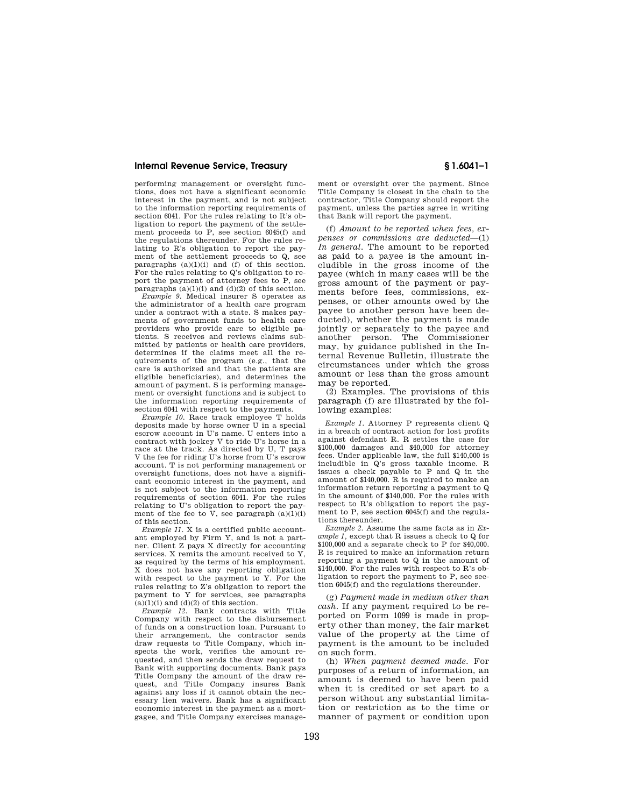### **Internal Revenue Service, Treasury § 1.6041–1**

performing management or oversight functions, does not have a significant economic interest in the payment, and is not subject to the information reporting requirements of section 6041. For the rules relating to R's obligation to report the payment of the settlement proceeds to P, see section 6045(f) and the regulations thereunder. For the rules relating to R's obligation to report the payment of the settlement proceeds to Q, see paragraphs  $(a)(1)(i)$  and  $(f)$  of this section. For the rules relating to Q's obligation to report the payment of attorney fees to P, see paragraphs  $(a)(1)(i)$  and  $(d)(2)$  of this section.

*Example 9.* Medical insurer S operates as the administrator of a health care program under a contract with a state. S makes payments of government funds to health care providers who provide care to eligible patients. S receives and reviews claims submitted by patients or health care providers, determines if the claims meet all the requirements of the program (e.g., that the care is authorized and that the patients are eligible beneficiaries), and determines the amount of payment. S is performing management or oversight functions and is subject to the information reporting requirements of section 6041 with respect to the payments.

*Example 10.* Race track employee T holds deposits made by horse owner U in a special escrow account in U's name. U enters into a contract with jockey V to ride U's horse in a race at the track. As directed by U, T pays V the fee for riding U's horse from U's escrow account. T is not performing management or oversight functions, does not have a significant economic interest in the payment, and is not subject to the information reporting requirements of section 6041. For the rules relating to U's obligation to report the payment of the fee to  $\bar{V}$ , see paragraph  $(a)(1)(i)$ of this section.

*Example 11.* X is a certified public accountant employed by Firm Y, and is not a partner. Client Z pays X directly for accounting services. X remits the amount received to Y, as required by the terms of his employment. X does not have any reporting obligation with respect to the payment to Y. For the rules relating to Z's obligation to report the payment to Y for services, see paragraphs  $(a)(1)(i)$  and  $(d)(2)$  of this section.

*Example 12.* Bank contracts with Title Company with respect to the disbursement of funds on a construction loan. Pursuant to their arrangement, the contractor sends draw requests to Title Company, which inspects the work, verifies the amount requested, and then sends the draw request to Bank with supporting documents. Bank pays Title Company the amount of the draw request, and Title Company insures Bank against any loss if it cannot obtain the necessary lien waivers. Bank has a significant economic interest in the payment as a mortgagee, and Title Company exercises management or oversight over the payment. Since Title Company is closest in the chain to the contractor, Title Company should report the payment, unless the parties agree in writing that Bank will report the payment.

(f) *Amount to be reported when fees, expenses or commissions are deducted*—(1) *In general.* The amount to be reported as paid to a payee is the amount includible in the gross income of the payee (which in many cases will be the gross amount of the payment or payments before fees, commissions, expenses, or other amounts owed by the payee to another person have been deducted), whether the payment is made jointly or separately to the payee and another person. The Commissioner may, by guidance published in the Internal Revenue Bulletin, illustrate the circumstances under which the gross amount or less than the gross amount may be reported.

(2) Examples. The provisions of this paragraph (f) are illustrated by the following examples:

*Example 1.* Attorney P represents client Q in a breach of contract action for lost profits against defendant R. R settles the case for \$100,000 damages and \$40,000 for attorney fees. Under applicable law, the full \$140,000 is includible in Q's gross taxable income. R issues a check payable to P and Q in the amount of \$140,000. R is required to make an information return reporting a payment to Q in the amount of \$140,000. For the rules with respect to R's obligation to report the payment to P, see section 6045(f) and the regulations thereunder.

*Example 2.* Assume the same facts as in *Example 1* except that R issues a check to Q for \$100,000 and a separate check to P for \$40,000. R is required to make an information return reporting a payment to Q in the amount of \$140,000. For the rules with respect to R's obligation to report the payment to P, see section 6045(f) and the regulations thereunder.

(g) *Payment made in medium other than cash.* If any payment required to be reported on Form 1099 is made in property other than money, the fair market value of the property at the time of payment is the amount to be included on such form.

(h) *When payment deemed made.* For purposes of a return of information, an amount is deemed to have been paid when it is credited or set apart to a person without any substantial limitation or restriction as to the time or manner of payment or condition upon